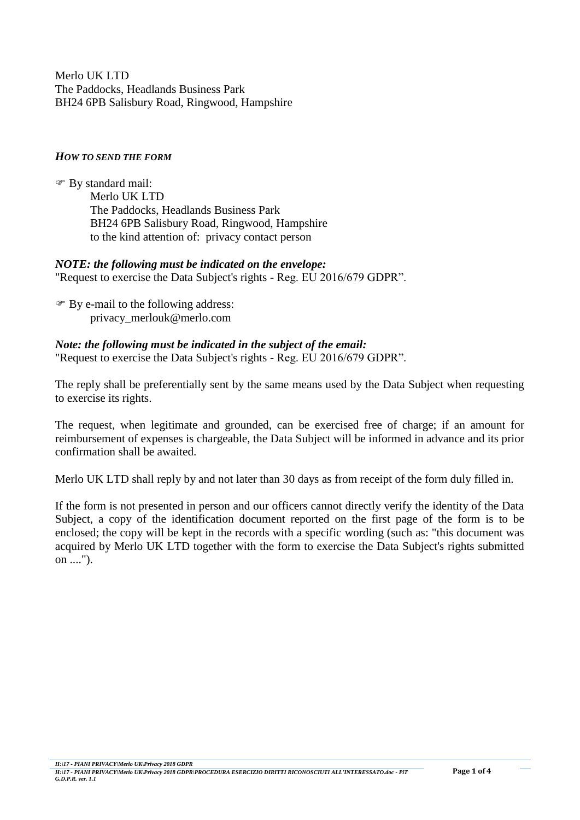Merlo UK LTD The Paddocks, Headlands Business Park BH24 6PB Salisbury Road, Ringwood, Hampshire

### *HOW TO SEND THE FORM*

 By standard mail: Merlo UK LTD The Paddocks, Headlands Business Park BH24 6PB Salisbury Road, Ringwood, Hampshire to the kind attention of: privacy contact person

### *NOTE: the following must be indicated on the envelope:*

"Request to exercise the Data Subject's rights - Reg. EU 2016/679 GDPR".

 By e-mail to the following address: privacy\_merlouk@merlo.com

#### *Note: the following must be indicated in the subject of the email:*

"Request to exercise the Data Subject's rights - Reg. EU 2016/679 GDPR".

The reply shall be preferentially sent by the same means used by the Data Subject when requesting to exercise its rights.

The request, when legitimate and grounded, can be exercised free of charge; if an amount for reimbursement of expenses is chargeable, the Data Subject will be informed in advance and its prior confirmation shall be awaited.

Merlo UK LTD shall reply by and not later than 30 days as from receipt of the form duly filled in.

If the form is not presented in person and our officers cannot directly verify the identity of the Data Subject, a copy of the identification document reported on the first page of the form is to be enclosed; the copy will be kept in the records with a specific wording (such as: "this document was acquired by Merlo UK LTD together with the form to exercise the Data Subject's rights submitted on ....").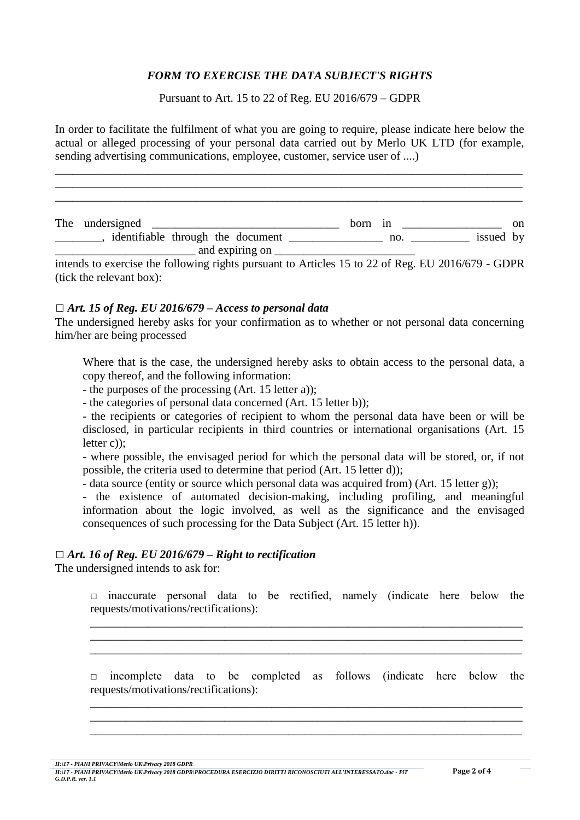# *FORM TO EXERCISE THE DATA SUBJECT'S RIGHTS*

Pursuant to Art. 15 to 22 of Reg. EU 2016/679 – GDPR

In order to facilitate the fulfilment of what you are going to require, please indicate here below the actual or alleged processing of your personal data carried out by Merlo UK LTD (for example, sending advertising communications, employee, customer, service user of ....)

\_\_\_\_\_\_\_\_\_\_\_\_\_\_\_\_\_\_\_\_\_\_\_\_\_\_\_\_\_\_\_\_\_\_\_\_\_\_\_\_\_\_\_\_\_\_\_\_\_\_\_\_\_\_\_\_\_\_\_\_\_\_\_\_\_\_\_\_\_\_\_\_\_\_\_\_\_\_\_\_ \_\_\_\_\_\_\_\_\_\_\_\_\_\_\_\_\_\_\_\_\_\_\_\_\_\_\_\_\_\_\_\_\_\_\_\_\_\_\_\_\_\_\_\_\_\_\_\_\_\_\_\_\_\_\_\_\_\_\_\_\_\_\_\_\_\_\_\_\_\_\_\_\_\_\_\_\_\_\_\_ \_\_\_\_\_\_\_\_\_\_\_\_\_\_\_\_\_\_\_\_\_\_\_\_\_\_\_\_\_\_\_\_\_\_\_\_\_\_\_\_\_\_\_\_\_\_\_\_\_\_\_\_\_\_\_\_\_\_\_\_\_\_\_\_\_\_\_\_\_\_\_\_\_\_\_\_\_\_\_\_

The undersigned \_\_\_\_\_\_\_\_\_\_\_\_\_\_\_\_\_\_\_\_\_\_\_\_\_\_\_\_\_\_\_\_ born in \_\_\_\_\_\_\_\_\_\_\_\_\_\_\_\_\_ on \_\_\_\_\_\_\_\_, identifiable through the document \_\_\_\_\_\_\_\_\_\_\_\_\_\_\_\_ no. \_\_\_\_\_\_\_\_\_\_ issued by \_\_\_\_\_\_\_\_\_\_\_\_\_\_\_\_\_\_\_\_\_\_\_\_ and expiring on \_\_\_\_\_\_\_\_\_\_\_\_\_\_\_\_\_\_\_\_\_\_\_\_

intends to exercise the following rights pursuant to Articles 15 to 22 of Reg. EU 2016/679 - GDPR (tick the relevant box):

#### *□ Art. 15 of Reg. EU 2016/679 – Access to personal data*

The undersigned hereby asks for your confirmation as to whether or not personal data concerning him/her are being processed

Where that is the case, the undersigned hereby asks to obtain access to the personal data, a copy thereof, and the following information:

- the purposes of the processing (Art. 15 letter a));

- the categories of personal data concerned (Art. 15 letter b));

- the recipients or categories of recipient to whom the personal data have been or will be disclosed, in particular recipients in third countries or international organisations (Art. 15) letter c));

- where possible, the envisaged period for which the personal data will be stored, or, if not possible, the criteria used to determine that period (Art. 15 letter d));

- data source (entity or source which personal data was acquired from) (Art. 15 letter g));

- the existence of automated decision-making, including profiling, and meaningful information about the logic involved, as well as the significance and the envisaged consequences of such processing for the Data Subject (Art. 15 letter h)).

#### *□ Art. 16 of Reg. EU 2016/679 – Right to rectification*

The undersigned intends to ask for:

 $\Box$  inaccurate personal data to be rectified, namely (indicate here below the requests/motivations/rectifications):

\_\_\_\_\_\_\_\_\_\_\_\_\_\_\_\_\_\_\_\_\_\_\_\_\_\_\_\_\_\_\_\_\_\_\_\_\_\_\_\_\_\_\_\_\_\_\_\_\_\_\_\_\_\_\_\_\_\_\_\_\_\_\_\_\_\_\_\_\_\_\_\_\_\_ \_\_\_\_\_\_\_\_\_\_\_\_\_\_\_\_\_\_\_\_\_\_\_\_\_\_\_\_\_\_\_\_\_\_\_\_\_\_\_\_\_\_\_\_\_\_\_\_\_\_\_\_\_\_\_\_\_\_\_\_\_\_\_\_\_\_\_\_\_\_\_\_\_\_ \_\_\_\_\_\_\_\_\_\_\_\_\_\_\_\_\_\_\_\_\_\_\_\_\_\_\_\_\_\_\_\_\_\_\_\_\_\_\_\_\_\_\_\_\_\_\_\_\_\_\_\_\_\_\_\_\_\_\_\_\_\_\_\_\_\_\_\_\_\_\_\_\_\_

 $\Box$  incomplete data to be completed as follows (indicate here below the requests/motivations/rectifications):

\_\_\_\_\_\_\_\_\_\_\_\_\_\_\_\_\_\_\_\_\_\_\_\_\_\_\_\_\_\_\_\_\_\_\_\_\_\_\_\_\_\_\_\_\_\_\_\_\_\_\_\_\_\_\_\_\_\_\_\_\_\_\_\_\_\_\_\_\_\_\_\_\_\_ \_\_\_\_\_\_\_\_\_\_\_\_\_\_\_\_\_\_\_\_\_\_\_\_\_\_\_\_\_\_\_\_\_\_\_\_\_\_\_\_\_\_\_\_\_\_\_\_\_\_\_\_\_\_\_\_\_\_\_\_\_\_\_\_\_\_\_\_\_\_\_\_\_\_ \_\_\_\_\_\_\_\_\_\_\_\_\_\_\_\_\_\_\_\_\_\_\_\_\_\_\_\_\_\_\_\_\_\_\_\_\_\_\_\_\_\_\_\_\_\_\_\_\_\_\_\_\_\_\_\_\_\_\_\_\_\_\_\_\_\_\_\_\_\_\_\_\_\_

*H:\17 - PIANI PRIVACY\Merlo UK\Privacy 2018 GDPR*

*H:\17 - PIANI PRIVACY\Merlo UK\Privacy 2018 GDPR\PROCEDURA ESERCIZIO DIRITTI RICONOSCIUTI ALL'INTERESSATO.doc - PiT* **Page 2 of 4** *G.D.P.R. ver. 1.1*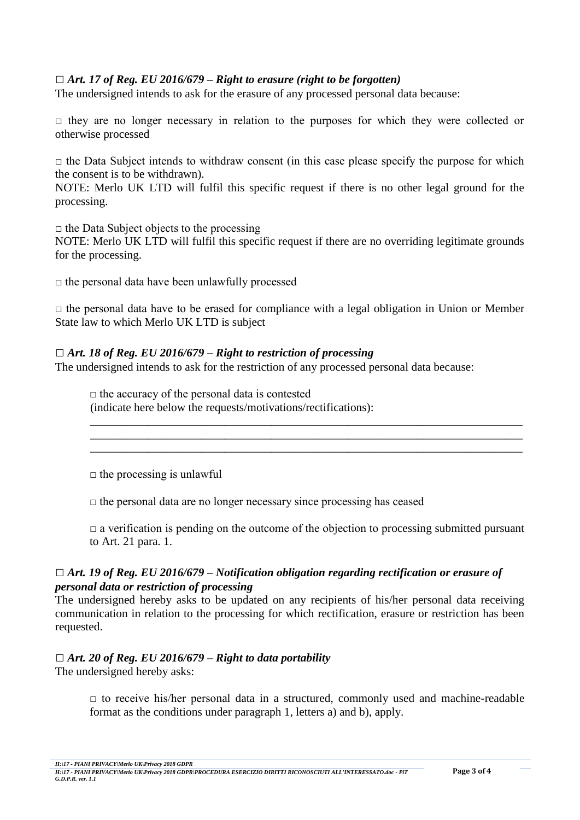# *□ Art. 17 of Reg. EU 2016/679 – Right to erasure (right to be forgotten)*

The undersigned intends to ask for the erasure of any processed personal data because:

 $\Box$  they are no longer necessary in relation to the purposes for which they were collected or otherwise processed

 $\Box$  the Data Subject intends to withdraw consent (in this case please specify the purpose for which the consent is to be withdrawn).

NOTE: Merlo UK LTD will fulfil this specific request if there is no other legal ground for the processing.

 $\Box$  the Data Subject objects to the processing

NOTE: Merlo UK LTD will fulfil this specific request if there are no overriding legitimate grounds for the processing.

 $\Box$  the personal data have been unlawfully processed

 $\Box$  the personal data have to be erased for compliance with a legal obligation in Union or Member State law to which Merlo UK LTD is subject

### *□ Art. 18 of Reg. EU 2016/679 – Right to restriction of processing*

The undersigned intends to ask for the restriction of any processed personal data because:

 $\Box$  the accuracy of the personal data is contested (indicate here below the requests/motivations/rectifications):

 $\Box$  the processing is unlawful

 $\Box$  the personal data are no longer necessary since processing has ceased

 $\Box$  a verification is pending on the outcome of the objection to processing submitted pursuant to Art. 21 para. 1.

\_\_\_\_\_\_\_\_\_\_\_\_\_\_\_\_\_\_\_\_\_\_\_\_\_\_\_\_\_\_\_\_\_\_\_\_\_\_\_\_\_\_\_\_\_\_\_\_\_\_\_\_\_\_\_\_\_\_\_\_\_\_\_\_\_\_\_\_\_\_\_\_\_\_ \_\_\_\_\_\_\_\_\_\_\_\_\_\_\_\_\_\_\_\_\_\_\_\_\_\_\_\_\_\_\_\_\_\_\_\_\_\_\_\_\_\_\_\_\_\_\_\_\_\_\_\_\_\_\_\_\_\_\_\_\_\_\_\_\_\_\_\_\_\_\_\_\_\_ \_\_\_\_\_\_\_\_\_\_\_\_\_\_\_\_\_\_\_\_\_\_\_\_\_\_\_\_\_\_\_\_\_\_\_\_\_\_\_\_\_\_\_\_\_\_\_\_\_\_\_\_\_\_\_\_\_\_\_\_\_\_\_\_\_\_\_\_\_\_\_\_\_\_

## *□ Art. 19 of Reg. EU 2016/679 – Notification obligation regarding rectification or erasure of personal data or restriction of processing*

The undersigned hereby asks to be updated on any recipients of his/her personal data receiving communication in relation to the processing for which rectification, erasure or restriction has been requested.

## *□ Art. 20 of Reg. EU 2016/679 – Right to data portability*

The undersigned hereby asks:

 $\Box$  to receive his/her personal data in a structured, commonly used and machine-readable format as the conditions under paragraph 1, letters a) and b), apply.

*H:\17 - PIANI PRIVACY\Merlo UK\Privacy 2018 GDPR*

*H:\17 - PIANI PRIVACY\Merlo UK\Privacy 2018 GDPR\PROCEDURA ESERCIZIO DIRITTI RICONOSCIUTI ALL'INTERESSATO.doc - PiT* **Page 3 of 4** *G.D.P.R. ver. 1.1*